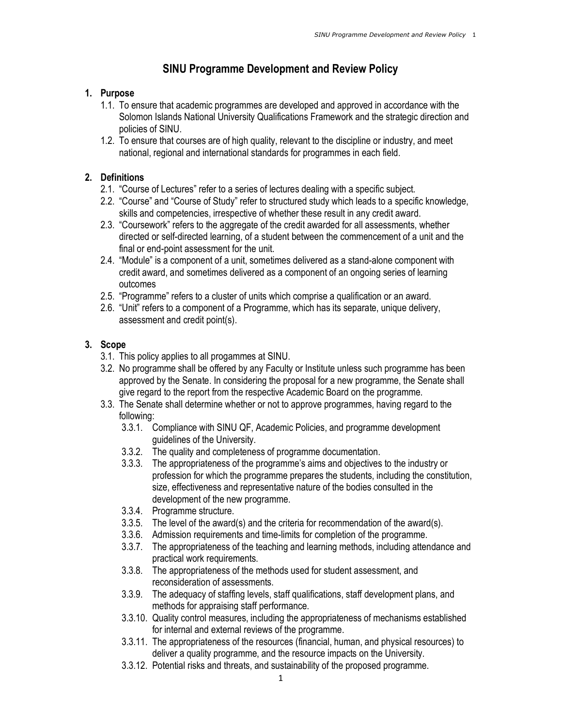# SINU Programme Development and Review Policy

### 1. Purpose

- 1.1. To ensure that academic programmes are developed and approved in accordance with the Solomon Islands National University Qualifications Framework and the strategic direction and policies of SINU.
- 1.2. To ensure that courses are of high quality, relevant to the discipline or industry, and meet national, regional and international standards for programmes in each field.

## 2. Definitions

- 2.1. "Course of Lectures" refer to a series of lectures dealing with a specific subject.
- 2.2. "Course" and "Course of Study" refer to structured study which leads to a specific knowledge, skills and competencies, irrespective of whether these result in any credit award.
- 2.3. "Coursework" refers to the aggregate of the credit awarded for all assessments, whether directed or self-directed learning, of a student between the commencement of a unit and the final or end-point assessment for the unit.
- 2.4. "Module" is a component of a unit, sometimes delivered as a stand-alone component with credit award, and sometimes delivered as a component of an ongoing series of learning outcomes
- 2.5. "Programme" refers to a cluster of units which comprise a qualification or an award.
- 2.6. "Unit" refers to a component of a Programme, which has its separate, unique delivery, assessment and credit point(s).

## 3. Scope

- 3.1. This policy applies to all progammes at SINU.
- 3.2. No programme shall be offered by any Faculty or Institute unless such programme has been approved by the Senate. In considering the proposal for a new programme, the Senate shall give regard to the report from the respective Academic Board on the programme.
- 3.3. The Senate shall determine whether or not to approve programmes, having regard to the following:
	- 3.3.1. Compliance with SINU QF, Academic Policies, and programme development guidelines of the University.
	- 3.3.2. The quality and completeness of programme documentation.
	- 3.3.3. The appropriateness of the programme's aims and objectives to the industry or profession for which the programme prepares the students, including the constitution, size, effectiveness and representative nature of the bodies consulted in the development of the new programme.
	- 3.3.4. Programme structure.
	- 3.3.5. The level of the award(s) and the criteria for recommendation of the award(s).
	- 3.3.6. Admission requirements and time-limits for completion of the programme.
	- 3.3.7. The appropriateness of the teaching and learning methods, including attendance and practical work requirements.
	- 3.3.8. The appropriateness of the methods used for student assessment, and reconsideration of assessments.
	- 3.3.9. The adequacy of staffing levels, staff qualifications, staff development plans, and methods for appraising staff performance.
	- 3.3.10. Quality control measures, including the appropriateness of mechanisms established for internal and external reviews of the programme.
	- 3.3.11. The appropriateness of the resources (financial, human, and physical resources) to deliver a quality programme, and the resource impacts on the University.
	- 3.3.12. Potential risks and threats, and sustainability of the proposed programme.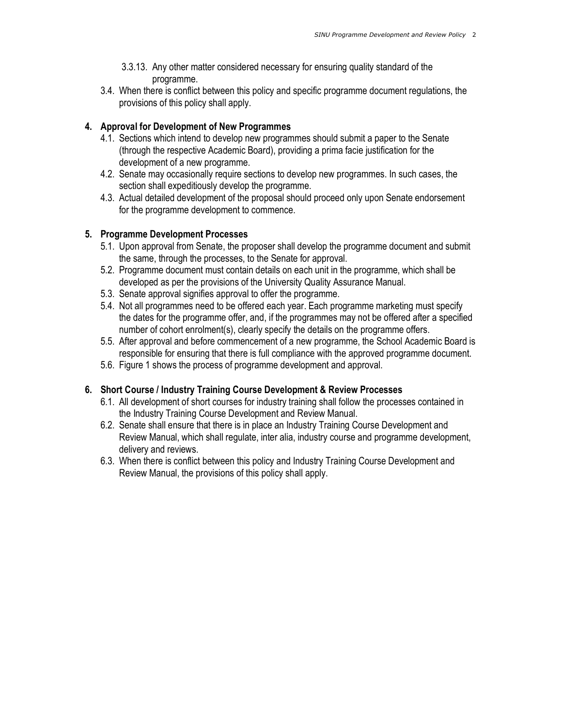- 3.3.13. Any other matter considered necessary for ensuring quality standard of the programme.
- 3.4. When there is conflict between this policy and specific programme document regulations, the provisions of this policy shall apply.

#### 4. Approval for Development of New Programmes

- 4.1. Sections which intend to develop new programmes should submit a paper to the Senate (through the respective Academic Board), providing a prima facie justification for the development of a new programme.
- 4.2. Senate may occasionally require sections to develop new programmes. In such cases, the section shall expeditiously develop the programme.
- 4.3. Actual detailed development of the proposal should proceed only upon Senate endorsement for the programme development to commence.

#### 5. Programme Development Processes

- 5.1. Upon approval from Senate, the proposer shall develop the programme document and submit the same, through the processes, to the Senate for approval.
- 5.2. Programme document must contain details on each unit in the programme, which shall be developed as per the provisions of the University Quality Assurance Manual.
- 5.3. Senate approval signifies approval to offer the programme.
- 5.4. Not all programmes need to be offered each year. Each programme marketing must specify the dates for the programme offer, and, if the programmes may not be offered after a specified number of cohort enrolment(s), clearly specify the details on the programme offers.
- 5.5. After approval and before commencement of a new programme, the School Academic Board is responsible for ensuring that there is full compliance with the approved programme document.
- 5.6. Figure 1 shows the process of programme development and approval.

#### 6. Short Course / Industry Training Course Development & Review Processes

- 6.1. All development of short courses for industry training shall follow the processes contained in the Industry Training Course Development and Review Manual.
- 6.2. Senate shall ensure that there is in place an Industry Training Course Development and Review Manual, which shall regulate, inter alia, industry course and programme development, delivery and reviews.
- 6.3. When there is conflict between this policy and Industry Training Course Development and Review Manual, the provisions of this policy shall apply.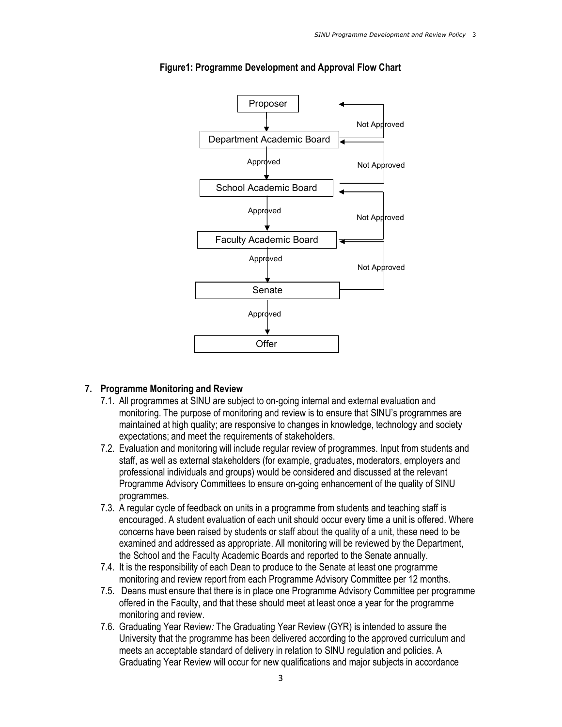

#### Figure1: Programme Development and Approval Flow Chart

#### 7. Programme Monitoring and Review

- 7.1. All programmes at SINU are subject to on-going internal and external evaluation and monitoring. The purpose of monitoring and review is to ensure that SINU's programmes are maintained at high quality; are responsive to changes in knowledge, technology and society expectations; and meet the requirements of stakeholders.
- 7.2. Evaluation and monitoring will include regular review of programmes. Input from students and staff, as well as external stakeholders (for example, graduates, moderators, employers and professional individuals and groups) would be considered and discussed at the relevant Programme Advisory Committees to ensure on-going enhancement of the quality of SINU programmes.
- 7.3. A regular cycle of feedback on units in a programme from students and teaching staff is encouraged. A student evaluation of each unit should occur every time a unit is offered. Where concerns have been raised by students or staff about the quality of a unit, these need to be examined and addressed as appropriate. All monitoring will be reviewed by the Department, the School and the Faculty Academic Boards and reported to the Senate annually.
- 7.4. It is the responsibility of each Dean to produce to the Senate at least one programme monitoring and review report from each Programme Advisory Committee per 12 months.
- 7.5. Deans must ensure that there is in place one Programme Advisory Committee per programme offered in the Faculty, and that these should meet at least once a year for the programme monitoring and review.
- 7.6. Graduating Year Review: The Graduating Year Review (GYR) is intended to assure the University that the programme has been delivered according to the approved curriculum and meets an acceptable standard of delivery in relation to SINU regulation and policies. A Graduating Year Review will occur for new qualifications and major subjects in accordance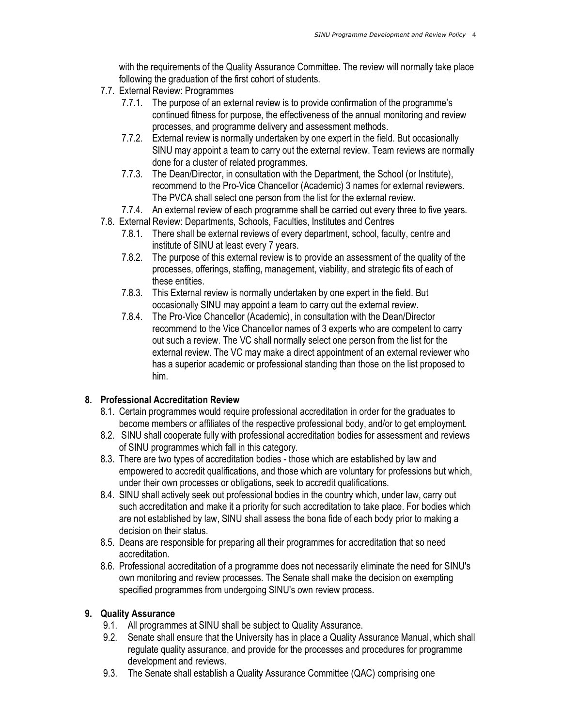with the requirements of the Quality Assurance Committee. The review will normally take place following the graduation of the first cohort of students.

- 7.7. External Review: Programmes
	- 7.7.1. The purpose of an external review is to provide confirmation of the programme's continued fitness for purpose, the effectiveness of the annual monitoring and review processes, and programme delivery and assessment methods.
	- 7.7.2. External review is normally undertaken by one expert in the field. But occasionally SINU may appoint a team to carry out the external review. Team reviews are normally done for a cluster of related programmes.
	- 7.7.3. The Dean/Director, in consultation with the Department, the School (or Institute), recommend to the Pro-Vice Chancellor (Academic) 3 names for external reviewers. The PVCA shall select one person from the list for the external review.
	- 7.7.4. An external review of each programme shall be carried out every three to five years.
- 7.8. External Review: Departments, Schools, Faculties, Institutes and Centres
	- 7.8.1. There shall be external reviews of every department, school, faculty, centre and institute of SINU at least every 7 years.
	- 7.8.2. The purpose of this external review is to provide an assessment of the quality of the processes, offerings, staffing, management, viability, and strategic fits of each of these entities.
	- 7.8.3. This External review is normally undertaken by one expert in the field. But occasionally SINU may appoint a team to carry out the external review.
	- 7.8.4. The Pro-Vice Chancellor (Academic), in consultation with the Dean/Director recommend to the Vice Chancellor names of 3 experts who are competent to carry out such a review. The VC shall normally select one person from the list for the external review. The VC may make a direct appointment of an external reviewer who has a superior academic or professional standing than those on the list proposed to him.

## 8. Professional Accreditation Review

- 8.1. Certain programmes would require professional accreditation in order for the graduates to become members or affiliates of the respective professional body, and/or to get employment.
- 8.2. SINU shall cooperate fully with professional accreditation bodies for assessment and reviews of SINU programmes which fall in this category.
- 8.3. There are two types of accreditation bodies those which are established by law and empowered to accredit qualifications, and those which are voluntary for professions but which, under their own processes or obligations, seek to accredit qualifications.
- 8.4. SINU shall actively seek out professional bodies in the country which, under law, carry out such accreditation and make it a priority for such accreditation to take place. For bodies which are not established by law, SINU shall assess the bona fide of each body prior to making a decision on their status.
- 8.5. Deans are responsible for preparing all their programmes for accreditation that so need accreditation.
- 8.6. Professional accreditation of a programme does not necessarily eliminate the need for SINU's own monitoring and review processes. The Senate shall make the decision on exempting specified programmes from undergoing SINU's own review process.

## 9. Quality Assurance

- 9.1. All programmes at SINU shall be subject to Quality Assurance.
- 9.2. Senate shall ensure that the University has in place a Quality Assurance Manual, which shall regulate quality assurance, and provide for the processes and procedures for programme development and reviews.
- 9.3. The Senate shall establish a Quality Assurance Committee (QAC) comprising one